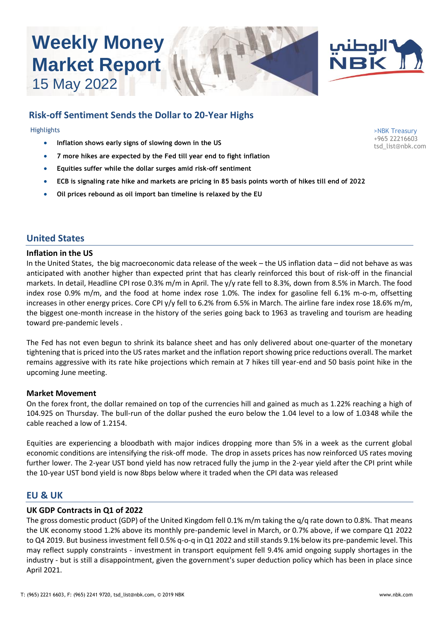# **Weekly Money Market Report** 15 May 2022





## **Risk-off Sentiment Sends the Dollar to 20-Year Highs**

**Highlights** 

- **Inflation shows early signs of slowing down in the US**
- **7 more hikes are expected by the Fed till year end to fight inflation**
- **Equities suffer while the dollar surges amid risk-off sentiment**
- **ECB is signaling rate hike and markets are pricing in 85 basis points worth of hikes till end of 2022**
- **Oil prices rebound as oil import ban timeline is relaxed by the EU**

## **United States**

#### **Inflation in the US**

In the United States, the big macroeconomic data release of the week – the US inflation data – did not behave as was anticipated with another higher than expected print that has clearly reinforced this bout of risk-off in the financial markets. In detail, Headline CPI rose 0.3% m/m in April. The y/y rate fell to 8.3%, down from 8.5% in March. The food index rose 0.9% m/m, and the food at home index rose 1.0%. The index for gasoline fell 6.1% m-o-m, offsetting increases in other energy prices. Core CPI y/y fell to 6.2% from 6.5% in March. The airline fare index rose 18.6% m/m, the biggest one-month increase in the history of the series going back to 1963 as traveling and tourism are heading toward pre-pandemic levels .

The Fed has not even begun to shrink its balance sheet and has only delivered about one-quarter of the monetary tightening that is priced into the US rates market and the inflation report showing price reductions overall. The market remains aggressive with its rate hike projections which remain at 7 hikes till year-end and 50 basis point hike in the upcoming June meeting.

## **Market Movement**

On the forex front, the dollar remained on top of the currencies hill and gained as much as 1.22% reaching a high of 104.925 on Thursday. The bull-run of the dollar pushed the euro below the 1.04 level to a low of 1.0348 while the cable reached a low of 1.2154.

Equities are experiencing a bloodbath with major indices dropping more than 5% in a week as the current global economic conditions are intensifying the risk-off mode. The drop in assets prices has now reinforced US rates moving further lower. The 2-year UST bond yield has now retraced fully the jump in the 2-year yield after the CPI print while the 10-year UST bond yield is now 8bps below where it traded when the CPI data was released

## **EU & UK**

## **UK GDP Contracts in Q1 of 2022**

The gross domestic product (GDP) of the United Kingdom fell 0.1% m/m taking the q/q rate down to 0.8%. That means the UK economy stood 1.2% above its monthly pre-pandemic level in March, or 0.7% above, if we compare Q1 2022 to Q4 2019. But business investment fell 0.5% q-o-q in Q1 2022 and still stands 9.1% below its pre-pandemic level. This may reflect supply constraints - investment in transport equipment fell 9.4% amid ongoing supply shortages in the industry - but is still a disappointment, given the government's super deduction policy which has been in place since April 2021.

>NBK Treasury +965 22216603 tsd\_list@nbk.com